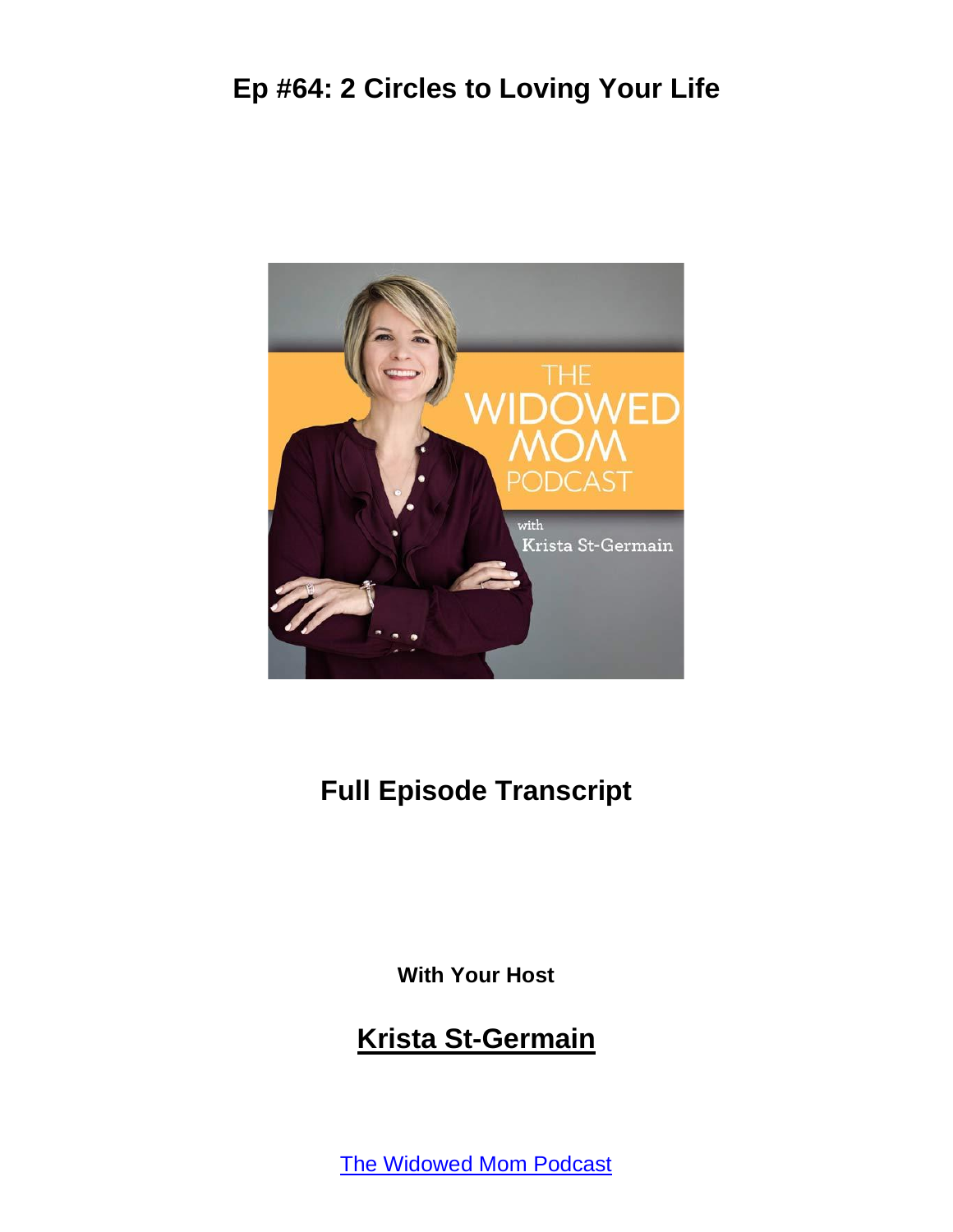

# **Full Episode Transcript**

**With Your Host**

#### **Krista St-Germain**

The [Widowed](https://coachingwithkrista.com/podcast) Mom Podcast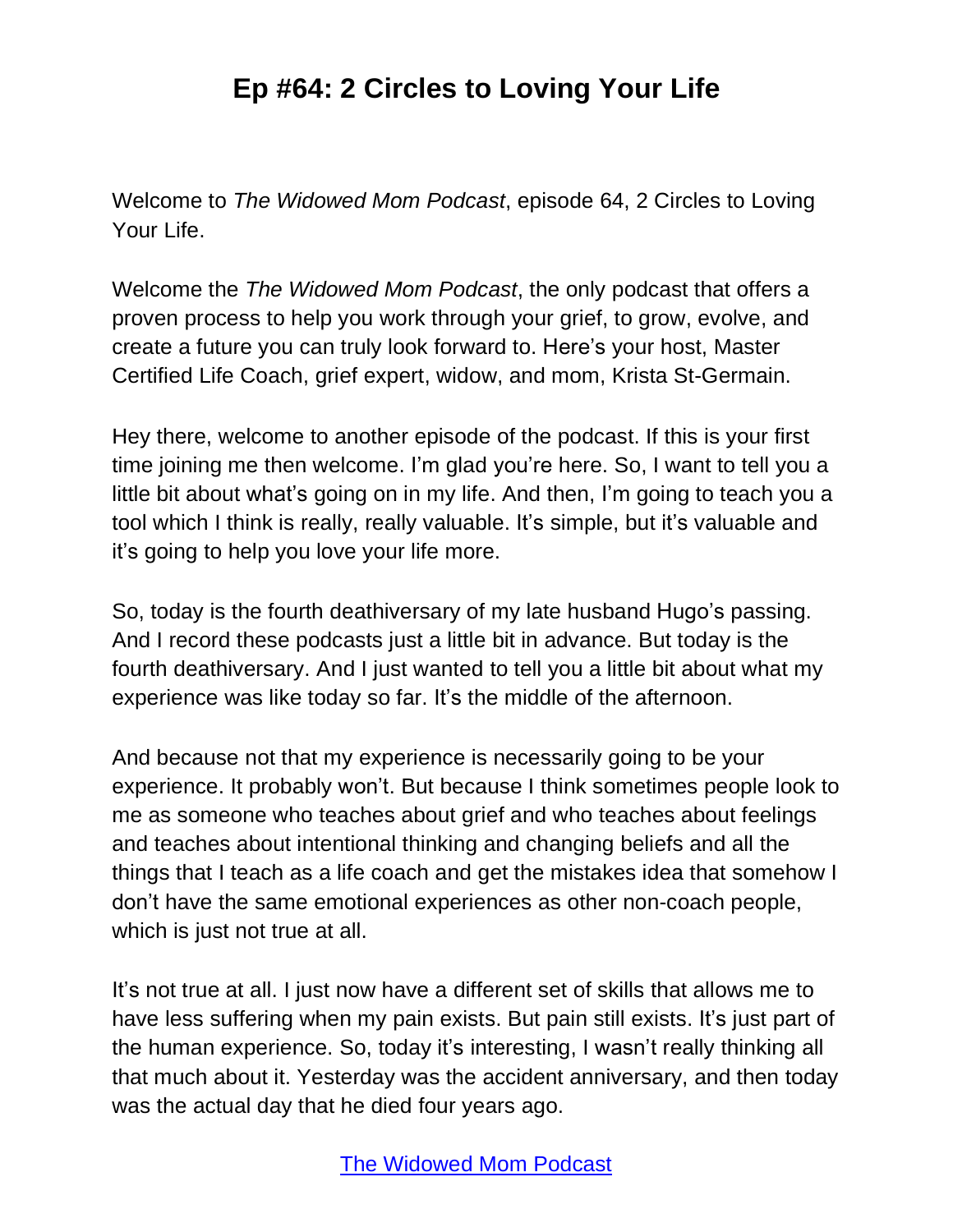Welcome to *The Widowed Mom Podcast*, episode 64, 2 Circles to Loving Your Life.

Welcome the *The Widowed Mom Podcast*, the only podcast that offers a proven process to help you work through your grief, to grow, evolve, and create a future you can truly look forward to. Here's your host, Master Certified Life Coach, grief expert, widow, and mom, Krista St-Germain.

Hey there, welcome to another episode of the podcast. If this is your first time joining me then welcome. I'm glad you're here. So, I want to tell you a little bit about what's going on in my life. And then, I'm going to teach you a tool which I think is really, really valuable. It's simple, but it's valuable and it's going to help you love your life more.

So, today is the fourth deathiversary of my late husband Hugo's passing. And I record these podcasts just a little bit in advance. But today is the fourth deathiversary. And I just wanted to tell you a little bit about what my experience was like today so far. It's the middle of the afternoon.

And because not that my experience is necessarily going to be your experience. It probably won't. But because I think sometimes people look to me as someone who teaches about grief and who teaches about feelings and teaches about intentional thinking and changing beliefs and all the things that I teach as a life coach and get the mistakes idea that somehow I don't have the same emotional experiences as other non-coach people, which is just not true at all.

It's not true at all. I just now have a different set of skills that allows me to have less suffering when my pain exists. But pain still exists. It's just part of the human experience. So, today it's interesting, I wasn't really thinking all that much about it. Yesterday was the accident anniversary, and then today was the actual day that he died four years ago.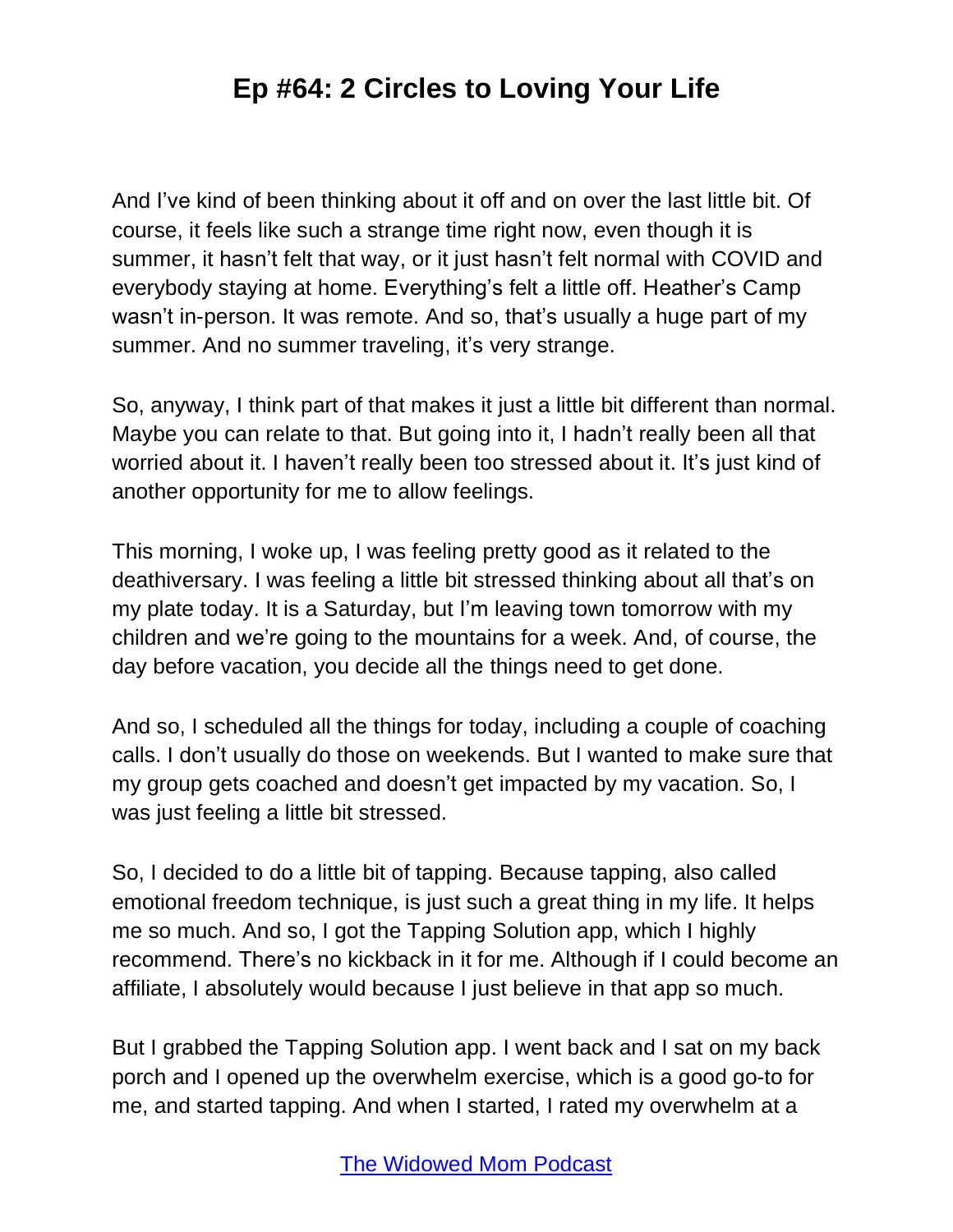And I've kind of been thinking about it off and on over the last little bit. Of course, it feels like such a strange time right now, even though it is summer, it hasn't felt that way, or it just hasn't felt normal with COVID and everybody staying at home. Everything's felt a little off. Heather's Camp wasn't in-person. It was remote. And so, that's usually a huge part of my summer. And no summer traveling, it's very strange.

So, anyway, I think part of that makes it just a little bit different than normal. Maybe you can relate to that. But going into it, I hadn't really been all that worried about it. I haven't really been too stressed about it. It's just kind of another opportunity for me to allow feelings.

This morning, I woke up, I was feeling pretty good as it related to the deathiversary. I was feeling a little bit stressed thinking about all that's on my plate today. It is a Saturday, but I'm leaving town tomorrow with my children and we're going to the mountains for a week. And, of course, the day before vacation, you decide all the things need to get done.

And so, I scheduled all the things for today, including a couple of coaching calls. I don't usually do those on weekends. But I wanted to make sure that my group gets coached and doesn't get impacted by my vacation. So, I was just feeling a little bit stressed.

So, I decided to do a little bit of tapping. Because tapping, also called emotional freedom technique, is just such a great thing in my life. It helps me so much. And so, I got the Tapping Solution app, which I highly recommend. There's no kickback in it for me. Although if I could become an affiliate, I absolutely would because I just believe in that app so much.

But I grabbed the Tapping Solution app. I went back and I sat on my back porch and I opened up the overwhelm exercise, which is a good go-to for me, and started tapping. And when I started, I rated my overwhelm at a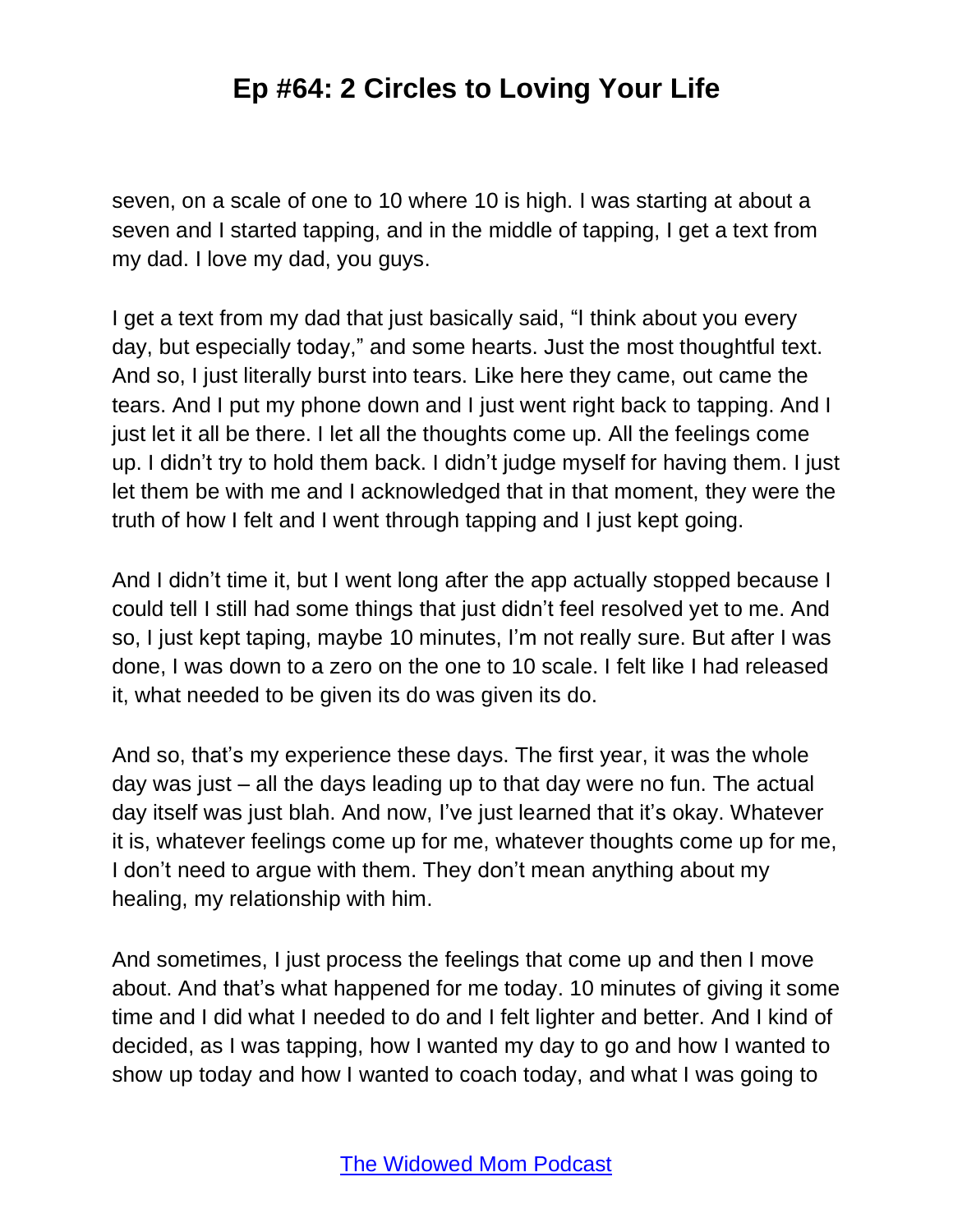seven, on a scale of one to 10 where 10 is high. I was starting at about a seven and I started tapping, and in the middle of tapping, I get a text from my dad. I love my dad, you guys.

I get a text from my dad that just basically said, "I think about you every day, but especially today," and some hearts. Just the most thoughtful text. And so, I just literally burst into tears. Like here they came, out came the tears. And I put my phone down and I just went right back to tapping. And I just let it all be there. I let all the thoughts come up. All the feelings come up. I didn't try to hold them back. I didn't judge myself for having them. I just let them be with me and I acknowledged that in that moment, they were the truth of how I felt and I went through tapping and I just kept going.

And I didn't time it, but I went long after the app actually stopped because I could tell I still had some things that just didn't feel resolved yet to me. And so, I just kept taping, maybe 10 minutes, I'm not really sure. But after I was done, I was down to a zero on the one to 10 scale. I felt like I had released it, what needed to be given its do was given its do.

And so, that's my experience these days. The first year, it was the whole day was just – all the days leading up to that day were no fun. The actual day itself was just blah. And now, I've just learned that it's okay. Whatever it is, whatever feelings come up for me, whatever thoughts come up for me, I don't need to argue with them. They don't mean anything about my healing, my relationship with him.

And sometimes, I just process the feelings that come up and then I move about. And that's what happened for me today. 10 minutes of giving it some time and I did what I needed to do and I felt lighter and better. And I kind of decided, as I was tapping, how I wanted my day to go and how I wanted to show up today and how I wanted to coach today, and what I was going to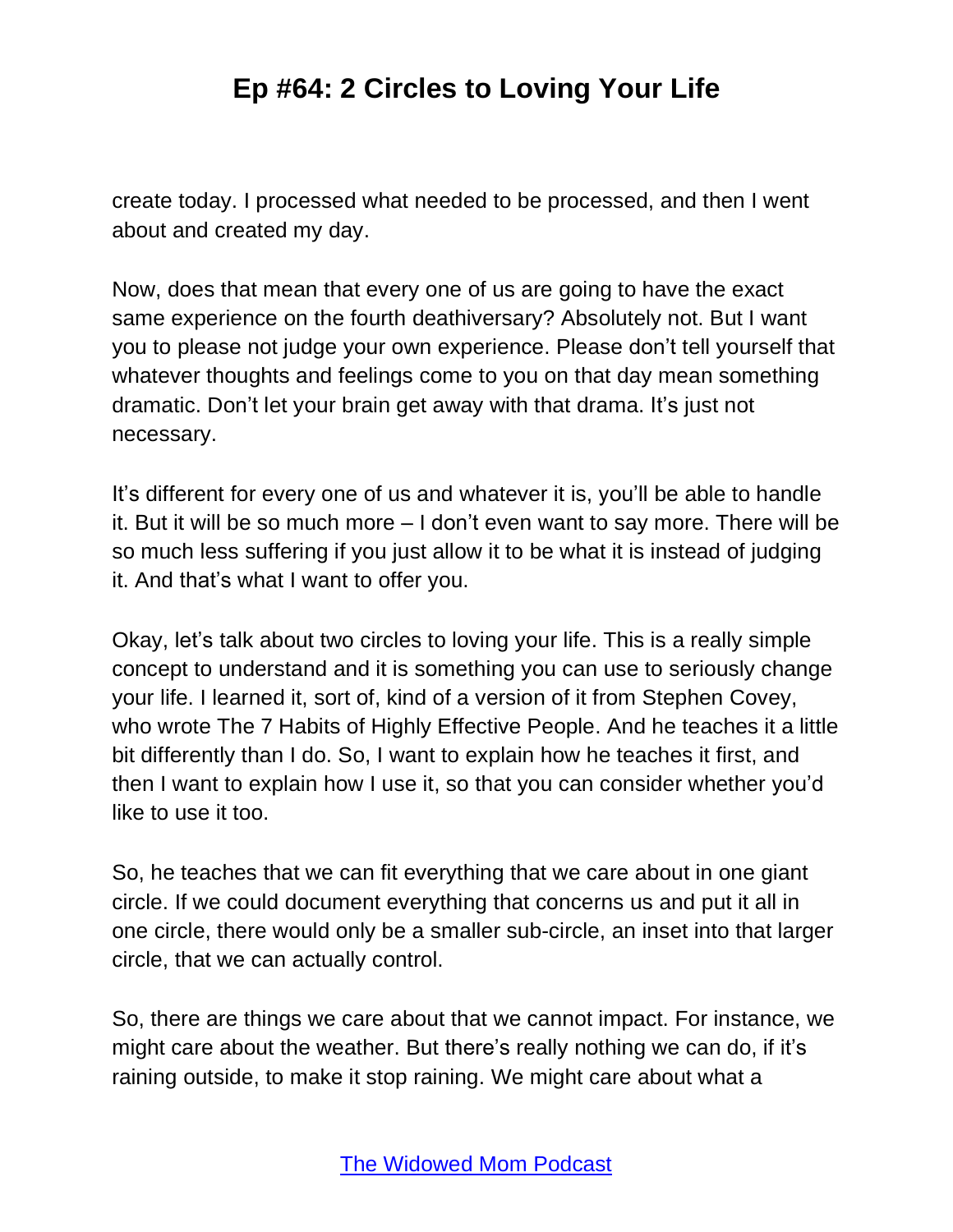create today. I processed what needed to be processed, and then I went about and created my day.

Now, does that mean that every one of us are going to have the exact same experience on the fourth deathiversary? Absolutely not. But I want you to please not judge your own experience. Please don't tell yourself that whatever thoughts and feelings come to you on that day mean something dramatic. Don't let your brain get away with that drama. It's just not necessary.

It's different for every one of us and whatever it is, you'll be able to handle it. But it will be so much more – I don't even want to say more. There will be so much less suffering if you just allow it to be what it is instead of judging it. And that's what I want to offer you.

Okay, let's talk about two circles to loving your life. This is a really simple concept to understand and it is something you can use to seriously change your life. I learned it, sort of, kind of a version of it from Stephen Covey, who wrote The 7 Habits of Highly Effective People. And he teaches it a little bit differently than I do. So, I want to explain how he teaches it first, and then I want to explain how I use it, so that you can consider whether you'd like to use it too.

So, he teaches that we can fit everything that we care about in one giant circle. If we could document everything that concerns us and put it all in one circle, there would only be a smaller sub-circle, an inset into that larger circle, that we can actually control.

So, there are things we care about that we cannot impact. For instance, we might care about the weather. But there's really nothing we can do, if it's raining outside, to make it stop raining. We might care about what a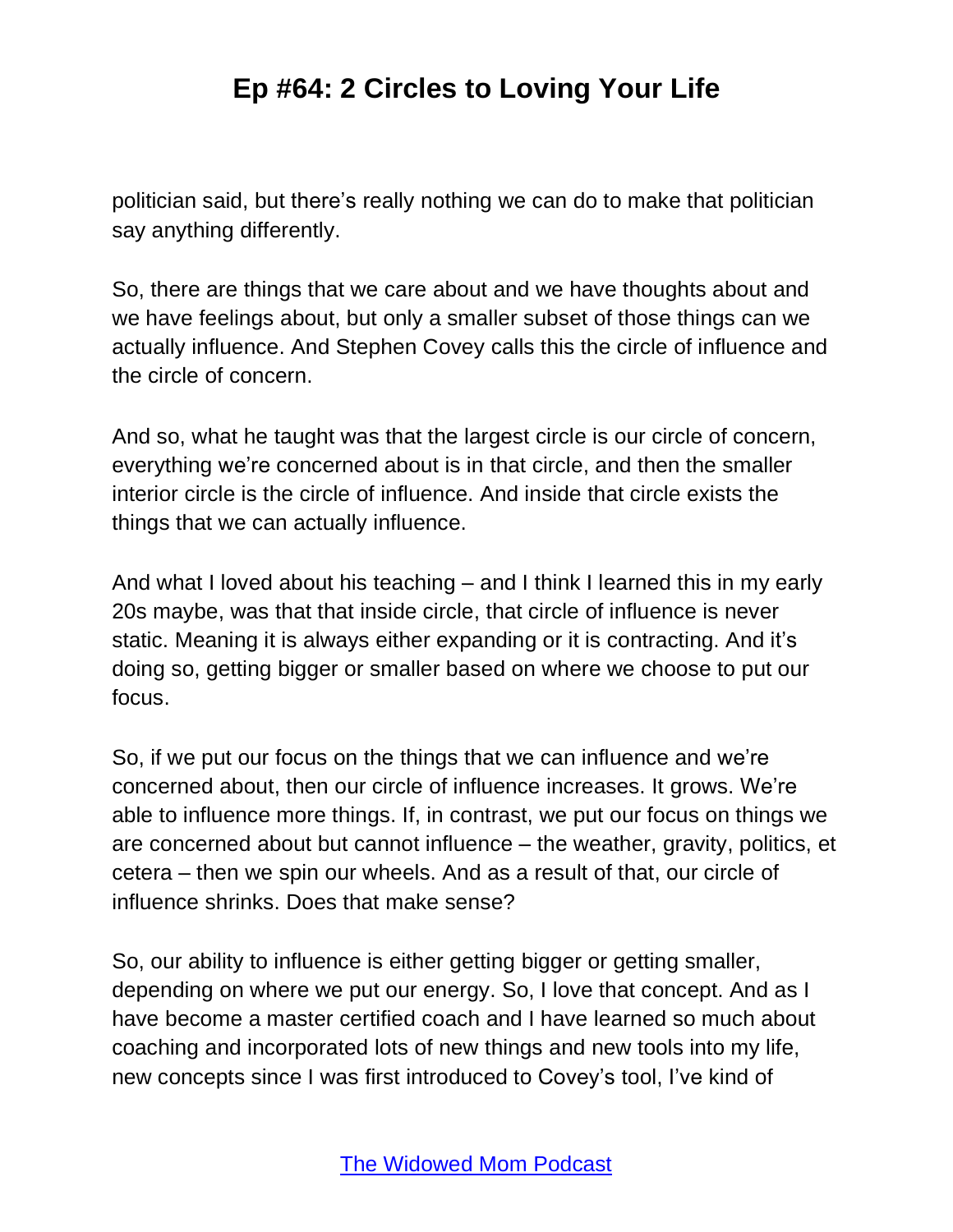politician said, but there's really nothing we can do to make that politician say anything differently.

So, there are things that we care about and we have thoughts about and we have feelings about, but only a smaller subset of those things can we actually influence. And Stephen Covey calls this the circle of influence and the circle of concern.

And so, what he taught was that the largest circle is our circle of concern, everything we're concerned about is in that circle, and then the smaller interior circle is the circle of influence. And inside that circle exists the things that we can actually influence.

And what I loved about his teaching – and I think I learned this in my early 20s maybe, was that that inside circle, that circle of influence is never static. Meaning it is always either expanding or it is contracting. And it's doing so, getting bigger or smaller based on where we choose to put our focus.

So, if we put our focus on the things that we can influence and we're concerned about, then our circle of influence increases. It grows. We're able to influence more things. If, in contrast, we put our focus on things we are concerned about but cannot influence – the weather, gravity, politics, et cetera – then we spin our wheels. And as a result of that, our circle of influence shrinks. Does that make sense?

So, our ability to influence is either getting bigger or getting smaller, depending on where we put our energy. So, I love that concept. And as I have become a master certified coach and I have learned so much about coaching and incorporated lots of new things and new tools into my life, new concepts since I was first introduced to Covey's tool, I've kind of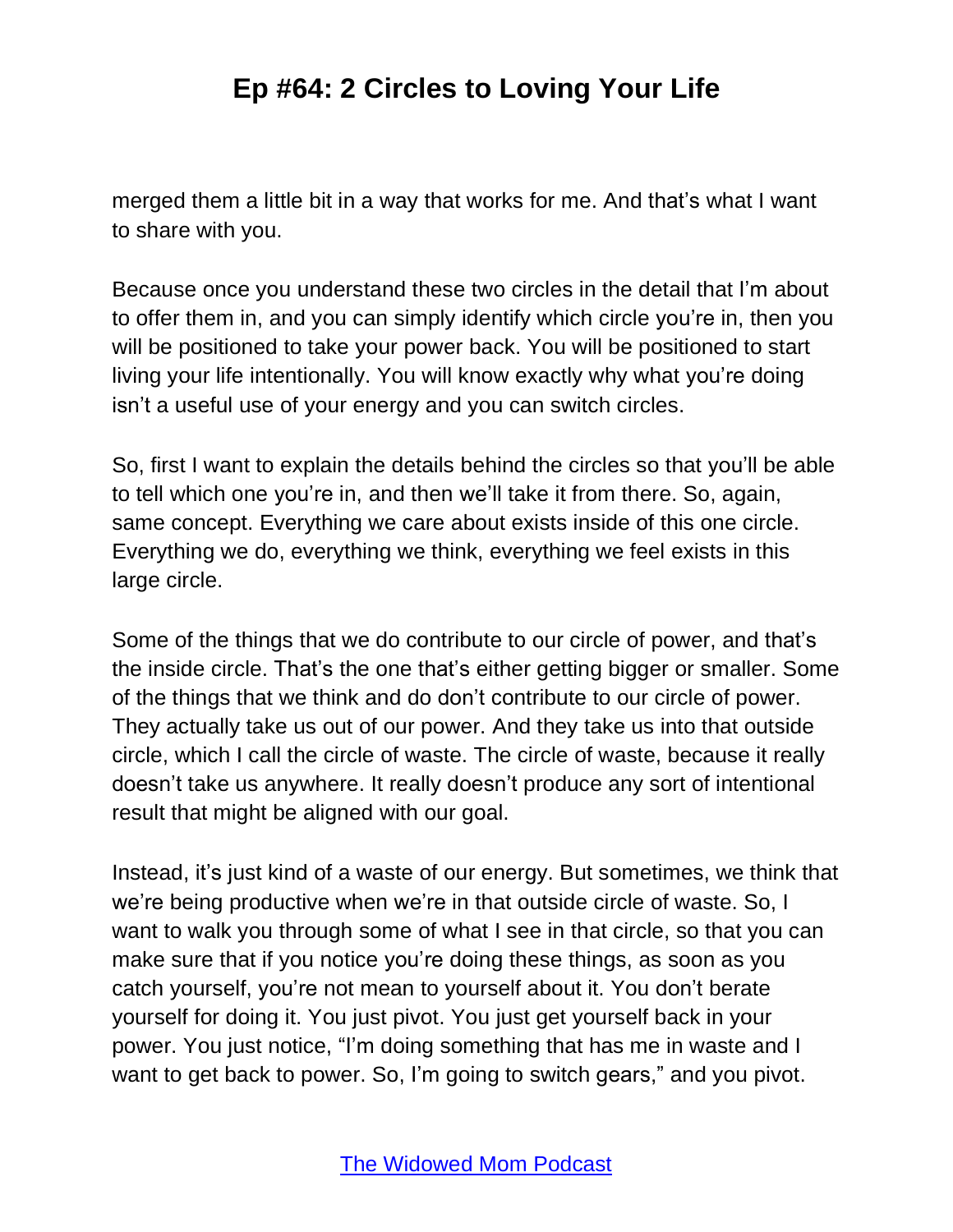merged them a little bit in a way that works for me. And that's what I want to share with you.

Because once you understand these two circles in the detail that I'm about to offer them in, and you can simply identify which circle you're in, then you will be positioned to take your power back. You will be positioned to start living your life intentionally. You will know exactly why what you're doing isn't a useful use of your energy and you can switch circles.

So, first I want to explain the details behind the circles so that you'll be able to tell which one you're in, and then we'll take it from there. So, again, same concept. Everything we care about exists inside of this one circle. Everything we do, everything we think, everything we feel exists in this large circle.

Some of the things that we do contribute to our circle of power, and that's the inside circle. That's the one that's either getting bigger or smaller. Some of the things that we think and do don't contribute to our circle of power. They actually take us out of our power. And they take us into that outside circle, which I call the circle of waste. The circle of waste, because it really doesn't take us anywhere. It really doesn't produce any sort of intentional result that might be aligned with our goal.

Instead, it's just kind of a waste of our energy. But sometimes, we think that we're being productive when we're in that outside circle of waste. So, I want to walk you through some of what I see in that circle, so that you can make sure that if you notice you're doing these things, as soon as you catch yourself, you're not mean to yourself about it. You don't berate yourself for doing it. You just pivot. You just get yourself back in your power. You just notice, "I'm doing something that has me in waste and I want to get back to power. So, I'm going to switch gears," and you pivot.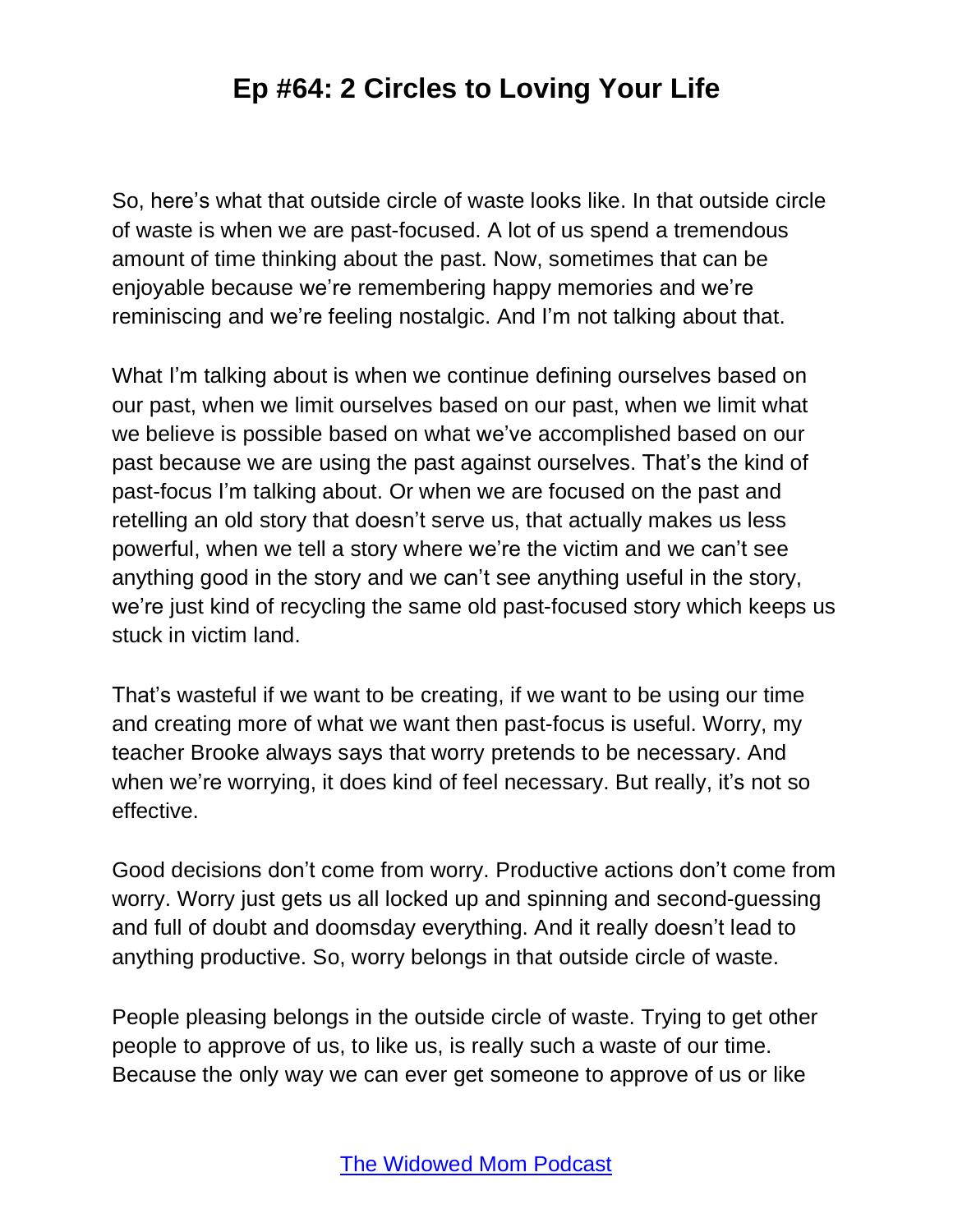So, here's what that outside circle of waste looks like. In that outside circle of waste is when we are past-focused. A lot of us spend a tremendous amount of time thinking about the past. Now, sometimes that can be enjoyable because we're remembering happy memories and we're reminiscing and we're feeling nostalgic. And I'm not talking about that.

What I'm talking about is when we continue defining ourselves based on our past, when we limit ourselves based on our past, when we limit what we believe is possible based on what we've accomplished based on our past because we are using the past against ourselves. That's the kind of past-focus I'm talking about. Or when we are focused on the past and retelling an old story that doesn't serve us, that actually makes us less powerful, when we tell a story where we're the victim and we can't see anything good in the story and we can't see anything useful in the story, we're just kind of recycling the same old past-focused story which keeps us stuck in victim land.

That's wasteful if we want to be creating, if we want to be using our time and creating more of what we want then past-focus is useful. Worry, my teacher Brooke always says that worry pretends to be necessary. And when we're worrying, it does kind of feel necessary. But really, it's not so effective.

Good decisions don't come from worry. Productive actions don't come from worry. Worry just gets us all locked up and spinning and second-guessing and full of doubt and doomsday everything. And it really doesn't lead to anything productive. So, worry belongs in that outside circle of waste.

People pleasing belongs in the outside circle of waste. Trying to get other people to approve of us, to like us, is really such a waste of our time. Because the only way we can ever get someone to approve of us or like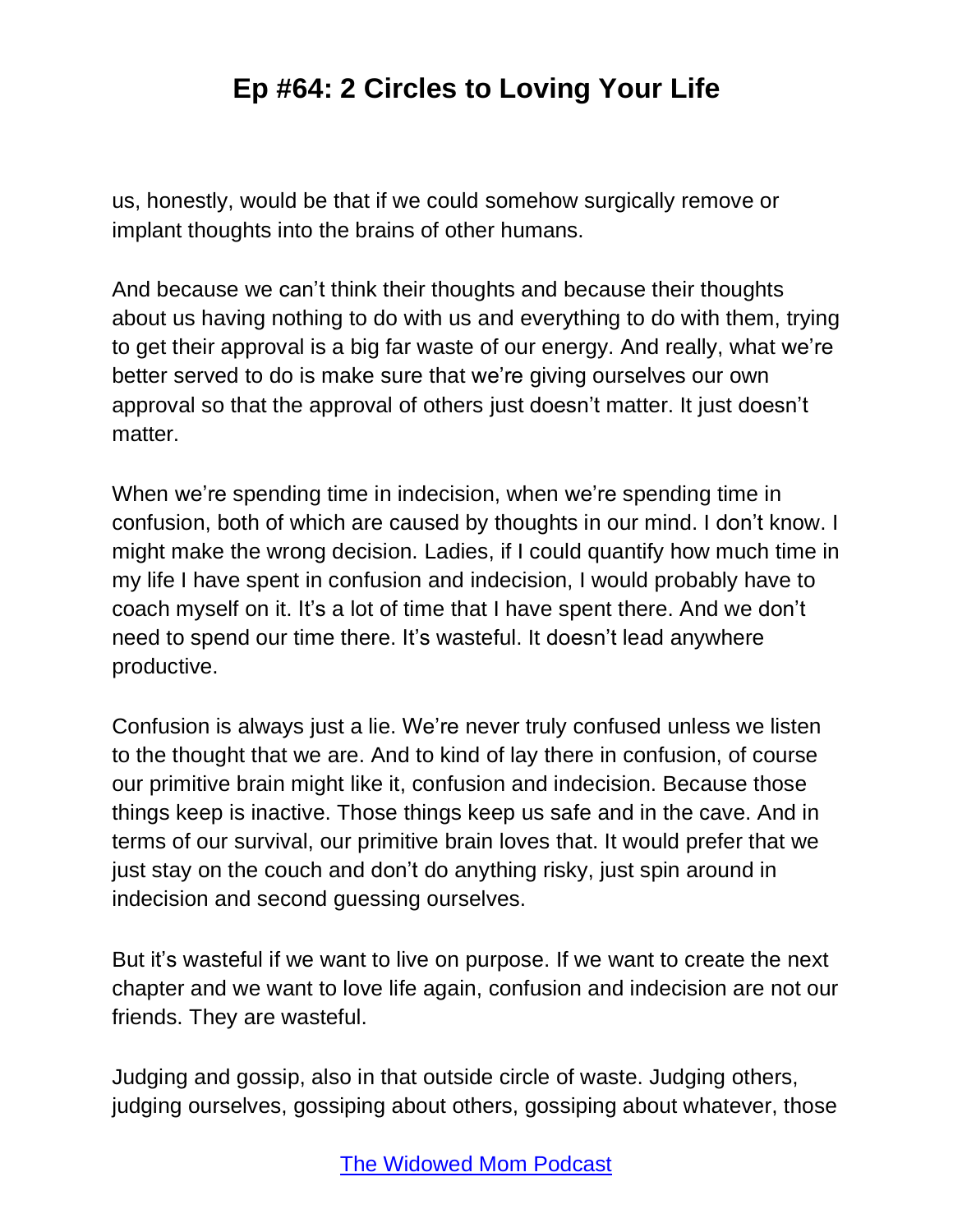us, honestly, would be that if we could somehow surgically remove or implant thoughts into the brains of other humans.

And because we can't think their thoughts and because their thoughts about us having nothing to do with us and everything to do with them, trying to get their approval is a big far waste of our energy. And really, what we're better served to do is make sure that we're giving ourselves our own approval so that the approval of others just doesn't matter. It just doesn't matter.

When we're spending time in indecision, when we're spending time in confusion, both of which are caused by thoughts in our mind. I don't know. I might make the wrong decision. Ladies, if I could quantify how much time in my life I have spent in confusion and indecision, I would probably have to coach myself on it. It's a lot of time that I have spent there. And we don't need to spend our time there. It's wasteful. It doesn't lead anywhere productive.

Confusion is always just a lie. We're never truly confused unless we listen to the thought that we are. And to kind of lay there in confusion, of course our primitive brain might like it, confusion and indecision. Because those things keep is inactive. Those things keep us safe and in the cave. And in terms of our survival, our primitive brain loves that. It would prefer that we just stay on the couch and don't do anything risky, just spin around in indecision and second guessing ourselves.

But it's wasteful if we want to live on purpose. If we want to create the next chapter and we want to love life again, confusion and indecision are not our friends. They are wasteful.

Judging and gossip, also in that outside circle of waste. Judging others, judging ourselves, gossiping about others, gossiping about whatever, those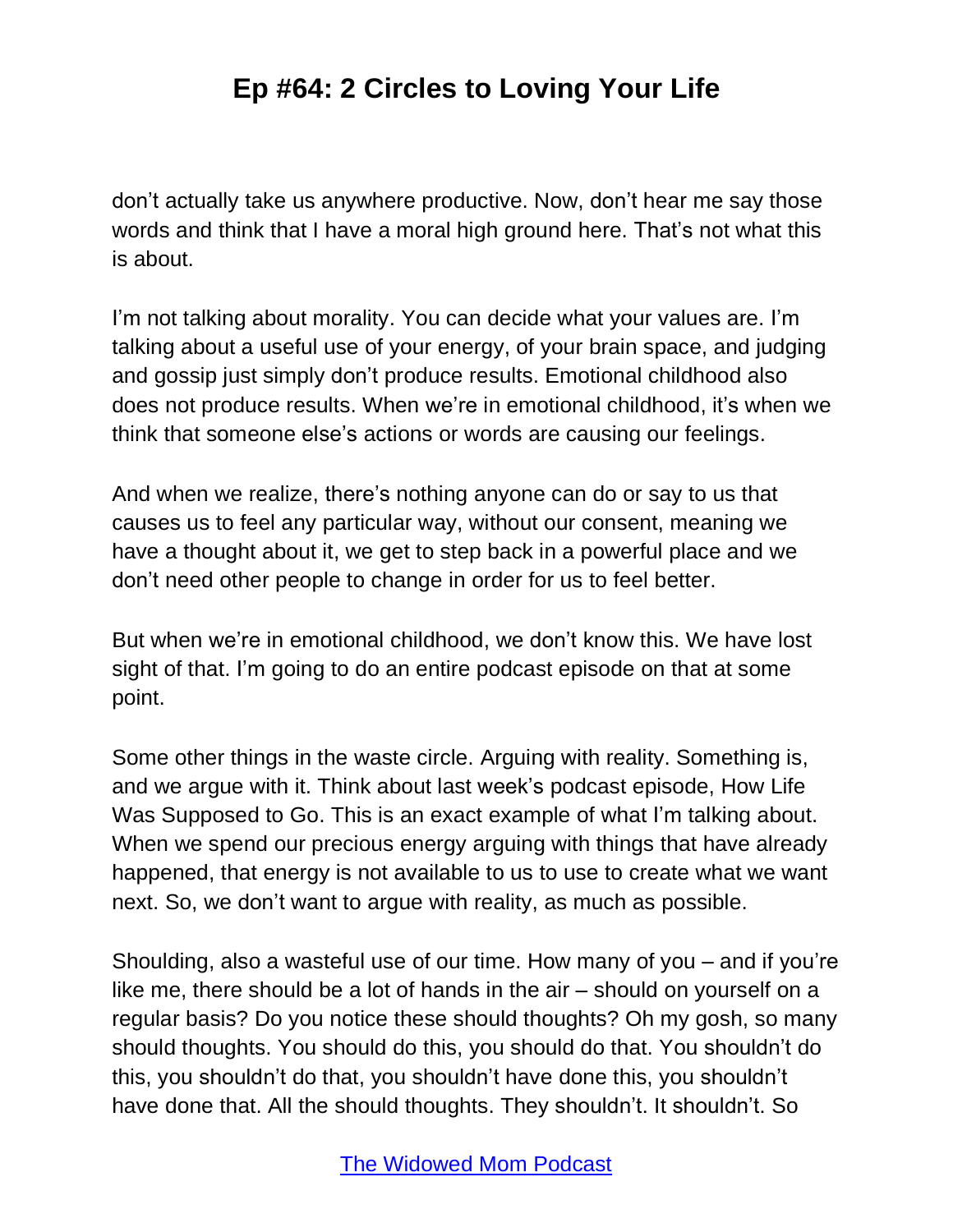don't actually take us anywhere productive. Now, don't hear me say those words and think that I have a moral high ground here. That's not what this is about.

I'm not talking about morality. You can decide what your values are. I'm talking about a useful use of your energy, of your brain space, and judging and gossip just simply don't produce results. Emotional childhood also does not produce results. When we're in emotional childhood, it's when we think that someone else's actions or words are causing our feelings.

And when we realize, there's nothing anyone can do or say to us that causes us to feel any particular way, without our consent, meaning we have a thought about it, we get to step back in a powerful place and we don't need other people to change in order for us to feel better.

But when we're in emotional childhood, we don't know this. We have lost sight of that. I'm going to do an entire podcast episode on that at some point.

Some other things in the waste circle. Arguing with reality. Something is, and we argue with it. Think about last week's podcast episode, How Life Was Supposed to Go. This is an exact example of what I'm talking about. When we spend our precious energy arguing with things that have already happened, that energy is not available to us to use to create what we want next. So, we don't want to argue with reality, as much as possible.

Shoulding, also a wasteful use of our time. How many of you – and if you're like me, there should be a lot of hands in the air – should on yourself on a regular basis? Do you notice these should thoughts? Oh my gosh, so many should thoughts. You should do this, you should do that. You shouldn't do this, you shouldn't do that, you shouldn't have done this, you shouldn't have done that. All the should thoughts. They shouldn't. It shouldn't. So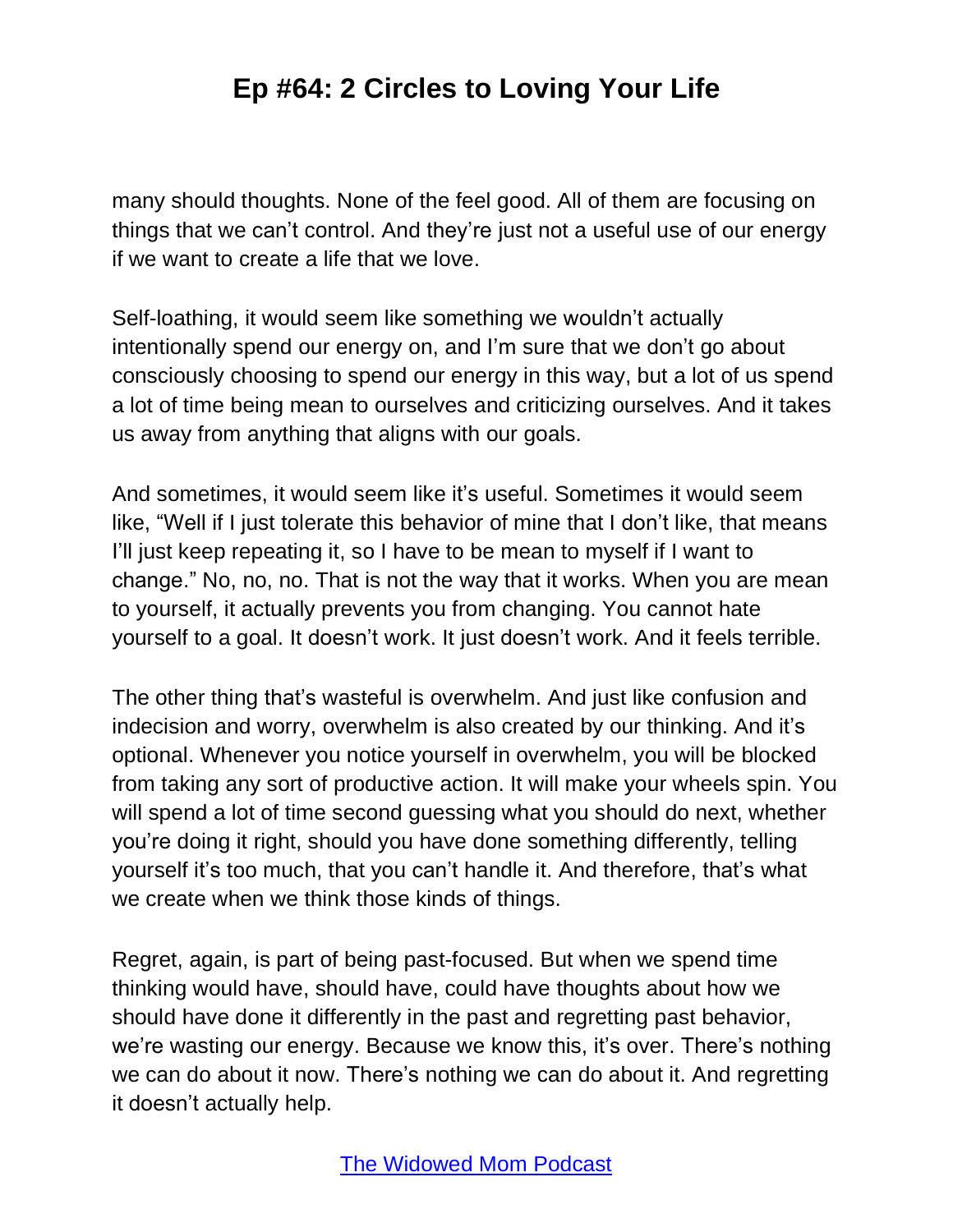many should thoughts. None of the feel good. All of them are focusing on things that we can't control. And they're just not a useful use of our energy if we want to create a life that we love.

Self-loathing, it would seem like something we wouldn't actually intentionally spend our energy on, and I'm sure that we don't go about consciously choosing to spend our energy in this way, but a lot of us spend a lot of time being mean to ourselves and criticizing ourselves. And it takes us away from anything that aligns with our goals.

And sometimes, it would seem like it's useful. Sometimes it would seem like, "Well if I just tolerate this behavior of mine that I don't like, that means I'll just keep repeating it, so I have to be mean to myself if I want to change." No, no, no. That is not the way that it works. When you are mean to yourself, it actually prevents you from changing. You cannot hate yourself to a goal. It doesn't work. It just doesn't work. And it feels terrible.

The other thing that's wasteful is overwhelm. And just like confusion and indecision and worry, overwhelm is also created by our thinking. And it's optional. Whenever you notice yourself in overwhelm, you will be blocked from taking any sort of productive action. It will make your wheels spin. You will spend a lot of time second guessing what you should do next, whether you're doing it right, should you have done something differently, telling yourself it's too much, that you can't handle it. And therefore, that's what we create when we think those kinds of things.

Regret, again, is part of being past-focused. But when we spend time thinking would have, should have, could have thoughts about how we should have done it differently in the past and regretting past behavior, we're wasting our energy. Because we know this, it's over. There's nothing we can do about it now. There's nothing we can do about it. And regretting it doesn't actually help.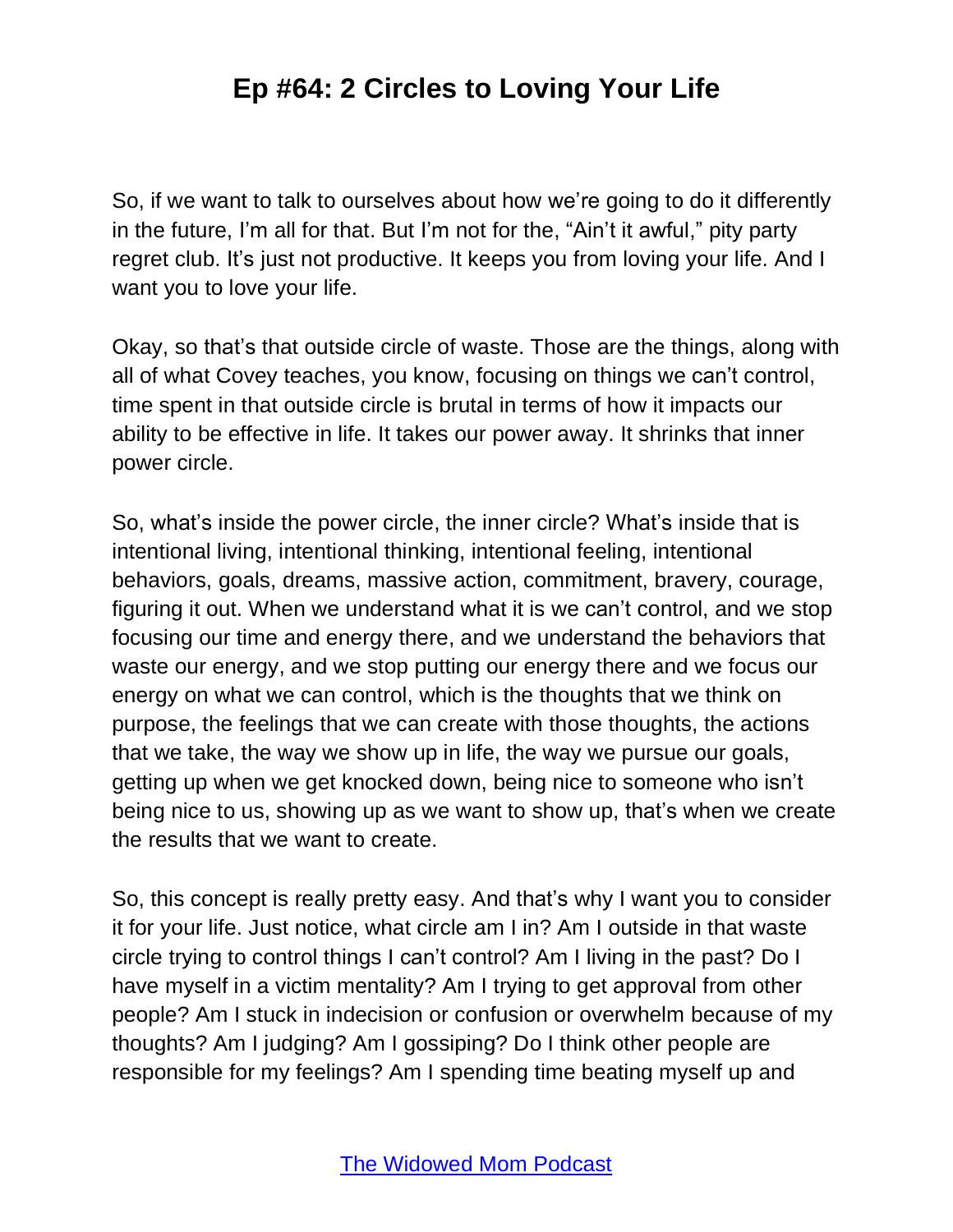So, if we want to talk to ourselves about how we're going to do it differently in the future, I'm all for that. But I'm not for the, "Ain't it awful," pity party regret club. It's just not productive. It keeps you from loving your life. And I want you to love your life.

Okay, so that's that outside circle of waste. Those are the things, along with all of what Covey teaches, you know, focusing on things we can't control, time spent in that outside circle is brutal in terms of how it impacts our ability to be effective in life. It takes our power away. It shrinks that inner power circle.

So, what's inside the power circle, the inner circle? What's inside that is intentional living, intentional thinking, intentional feeling, intentional behaviors, goals, dreams, massive action, commitment, bravery, courage, figuring it out. When we understand what it is we can't control, and we stop focusing our time and energy there, and we understand the behaviors that waste our energy, and we stop putting our energy there and we focus our energy on what we can control, which is the thoughts that we think on purpose, the feelings that we can create with those thoughts, the actions that we take, the way we show up in life, the way we pursue our goals, getting up when we get knocked down, being nice to someone who isn't being nice to us, showing up as we want to show up, that's when we create the results that we want to create.

So, this concept is really pretty easy. And that's why I want you to consider it for your life. Just notice, what circle am I in? Am I outside in that waste circle trying to control things I can't control? Am I living in the past? Do I have myself in a victim mentality? Am I trying to get approval from other people? Am I stuck in indecision or confusion or overwhelm because of my thoughts? Am I judging? Am I gossiping? Do I think other people are responsible for my feelings? Am I spending time beating myself up and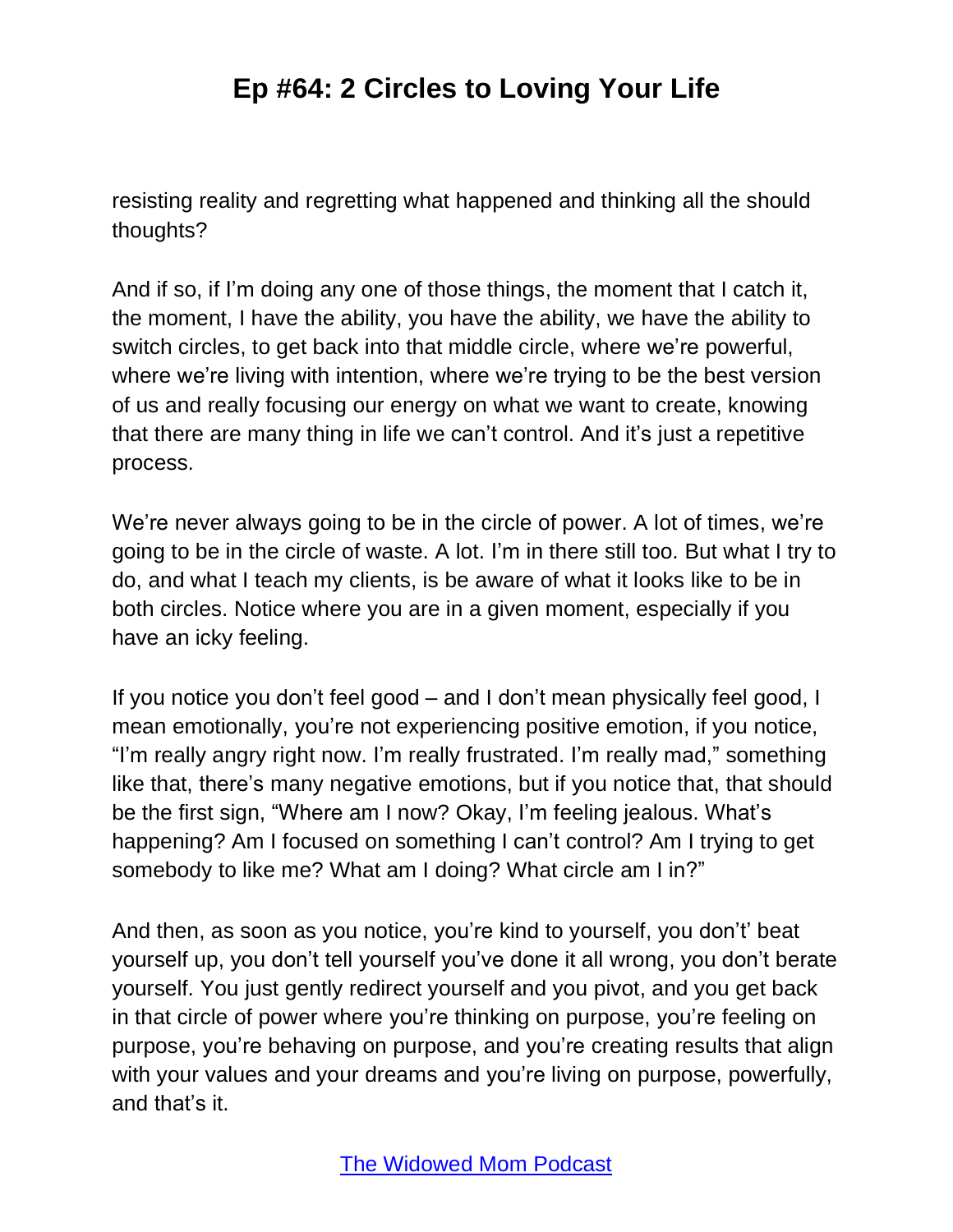resisting reality and regretting what happened and thinking all the should thoughts?

And if so, if I'm doing any one of those things, the moment that I catch it, the moment, I have the ability, you have the ability, we have the ability to switch circles, to get back into that middle circle, where we're powerful, where we're living with intention, where we're trying to be the best version of us and really focusing our energy on what we want to create, knowing that there are many thing in life we can't control. And it's just a repetitive process.

We're never always going to be in the circle of power. A lot of times, we're going to be in the circle of waste. A lot. I'm in there still too. But what I try to do, and what I teach my clients, is be aware of what it looks like to be in both circles. Notice where you are in a given moment, especially if you have an icky feeling.

If you notice you don't feel good – and I don't mean physically feel good, I mean emotionally, you're not experiencing positive emotion, if you notice, "I'm really angry right now. I'm really frustrated. I'm really mad," something like that, there's many negative emotions, but if you notice that, that should be the first sign, "Where am I now? Okay, I'm feeling jealous. What's happening? Am I focused on something I can't control? Am I trying to get somebody to like me? What am I doing? What circle am I in?"

And then, as soon as you notice, you're kind to yourself, you don't' beat yourself up, you don't tell yourself you've done it all wrong, you don't berate yourself. You just gently redirect yourself and you pivot, and you get back in that circle of power where you're thinking on purpose, you're feeling on purpose, you're behaving on purpose, and you're creating results that align with your values and your dreams and you're living on purpose, powerfully, and that's it.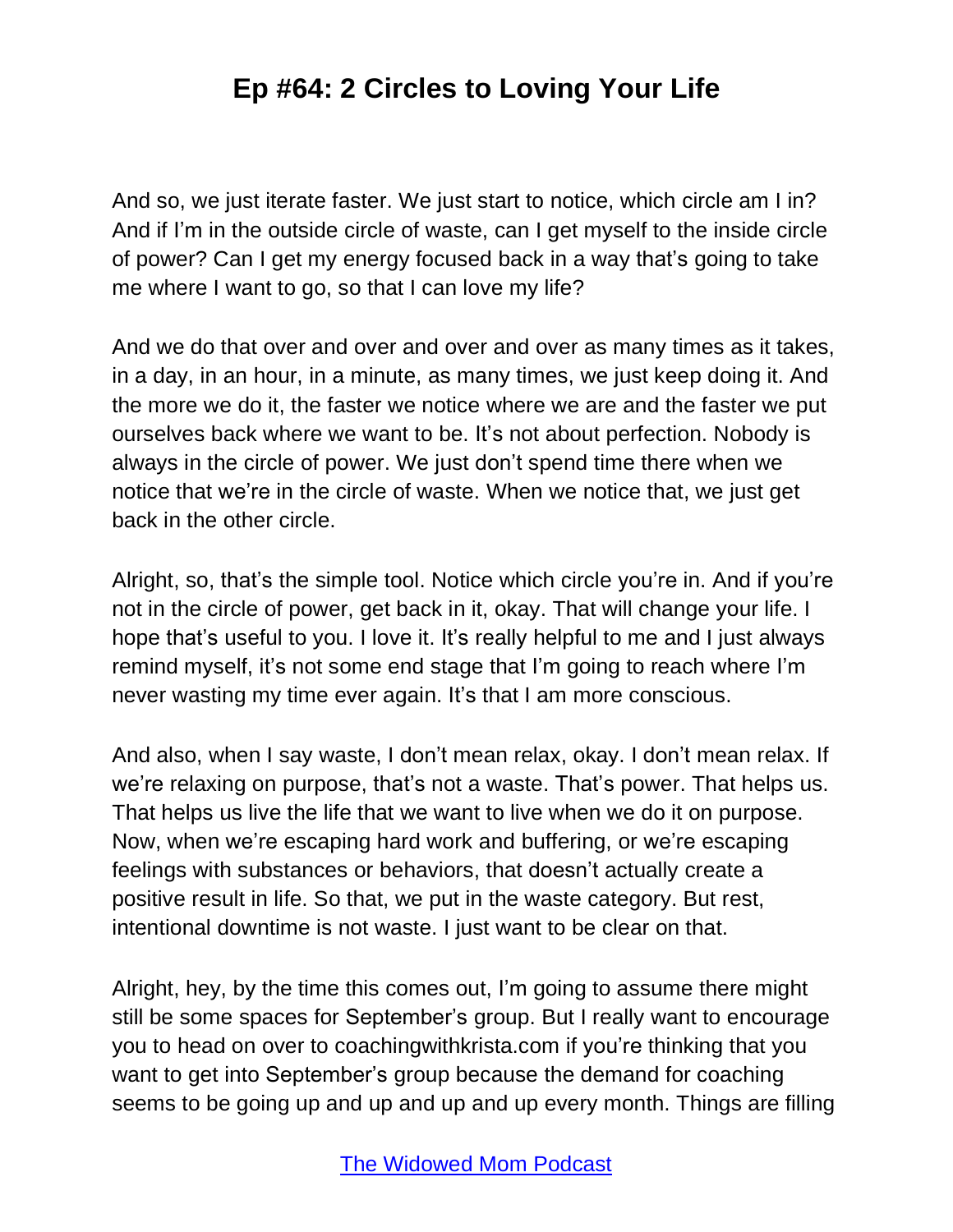And so, we just iterate faster. We just start to notice, which circle am I in? And if I'm in the outside circle of waste, can I get myself to the inside circle of power? Can I get my energy focused back in a way that's going to take me where I want to go, so that I can love my life?

And we do that over and over and over and over as many times as it takes, in a day, in an hour, in a minute, as many times, we just keep doing it. And the more we do it, the faster we notice where we are and the faster we put ourselves back where we want to be. It's not about perfection. Nobody is always in the circle of power. We just don't spend time there when we notice that we're in the circle of waste. When we notice that, we just get back in the other circle.

Alright, so, that's the simple tool. Notice which circle you're in. And if you're not in the circle of power, get back in it, okay. That will change your life. I hope that's useful to you. I love it. It's really helpful to me and I just always remind myself, it's not some end stage that I'm going to reach where I'm never wasting my time ever again. It's that I am more conscious.

And also, when I say waste, I don't mean relax, okay. I don't mean relax. If we're relaxing on purpose, that's not a waste. That's power. That helps us. That helps us live the life that we want to live when we do it on purpose. Now, when we're escaping hard work and buffering, or we're escaping feelings with substances or behaviors, that doesn't actually create a positive result in life. So that, we put in the waste category. But rest, intentional downtime is not waste. I just want to be clear on that.

Alright, hey, by the time this comes out, I'm going to assume there might still be some spaces for September's group. But I really want to encourage you to head on over to coachingwithkrista.com if you're thinking that you want to get into September's group because the demand for coaching seems to be going up and up and up and up every month. Things are filling